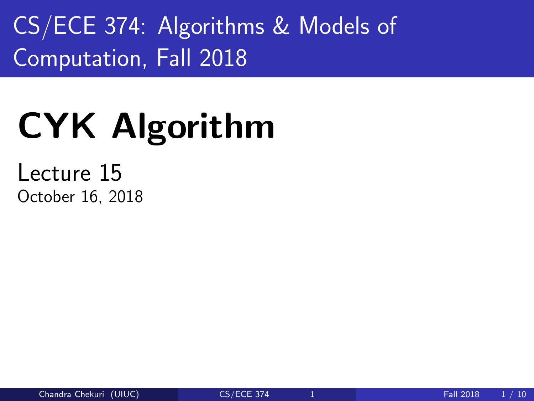<span id="page-0-0"></span>CS/ECE 374: Algorithms & Models of Computation, Fall 2018

# CYK Algorithm

Lecture 15 October 16, 2018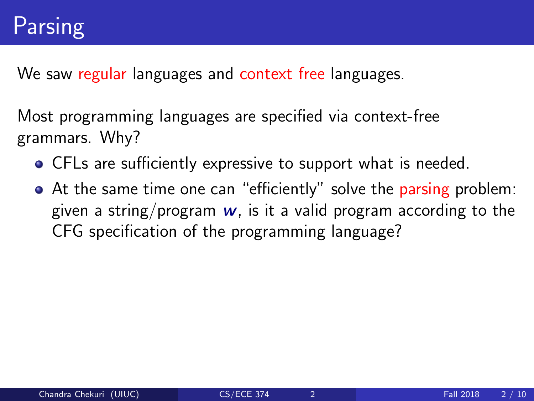We saw regular languages and context free languages.

Most programming languages are specified via context-free grammars. Why?

- CFLs are sufficiently expressive to support what is needed.
- At the same time one can "efficiently" solve the parsing problem: given a string/program  $w$ , is it a valid program according to the CFG specification of the programming language?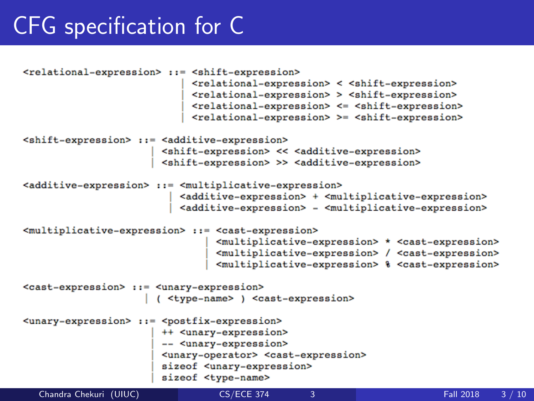## CFG specification for C

```
<relational-expression> ::= <shift-expression>
                           <relational-expression> < <shift-expression>
                           <relational-expression> > <shift-expression>
                           <relational-expression> <= <shift-expression>
                           <relational-expression> >= <shift-expression>
<shift-expression> ::= <additive-expression>
                      <shift-expression> << <additive-expression>
                      <shift-expression> >> <additive-expression>
<additive-expression> ::= <multiplicative-expression>
                         <additive-expression> + <multiplicative-expression>
                         <additive-expression> - <multiplicative-expression>
<multiplicative-expression> ::= <cast-expression>
                               <multiplicative-expression> * <cast-expression>
                               <multiplicative-expression> / <cast-expression>
                               <multiplicative-expression> % <cast-expression>
<cast-expression> ::= <unary-expression>
                     ( <type-name> ) <cast-expression>
<unary-expression> ::= <postfix-expression>
                      ++ <unary-expression>
                      -- <unary-expression>
                      <unary-operator> <cast-expression>
                      sizeof <unarv-expression>
                      sizeof <type-name>
  Chandra Chekuri (UIUC) CS/ECE 374 3 Fall 2018 3 / 10
```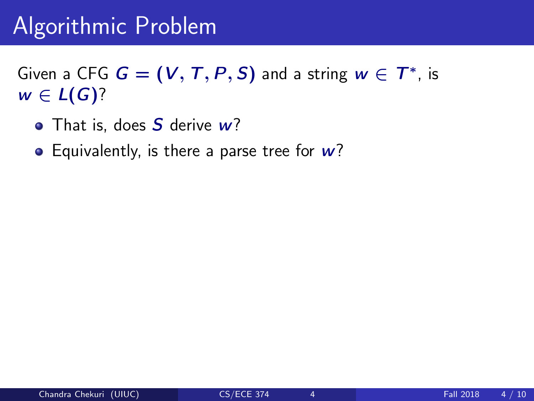# Algorithmic Problem

Given a CFG  $\boldsymbol{G} = (\boldsymbol{V},\boldsymbol{T},\boldsymbol{P},\boldsymbol{S})$  and a string  $\boldsymbol{w} \in \boldsymbol{T}^*$ , is  $w \in L(G)$ ?

- That is, does S derive w?
- Equivalently, is there a parse tree for  $w$ ?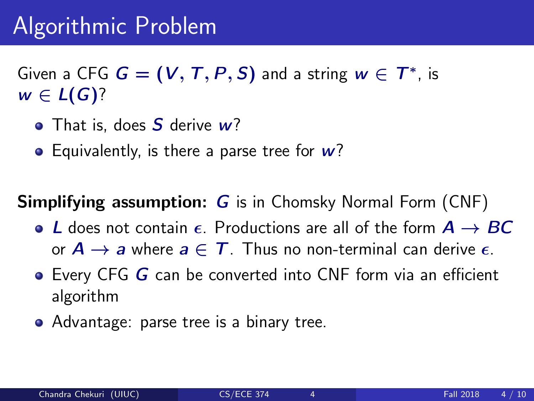# Algorithmic Problem

Given a CFG  $\boldsymbol{G} = (\boldsymbol{V},\boldsymbol{T},\boldsymbol{P},\boldsymbol{S})$  and a string  $\boldsymbol{w} \in \boldsymbol{T}^*$ , is  $w \in L(G)$ ?

- $\bullet$  That is, does S derive  $w$ ?
- Equivalently, is there a parse tree for  $w$ ?

#### **Simplifying assumption: G** is in Chomsky Normal Form (CNF)

- $\bullet$  L does not contain  $\epsilon$ . Productions are all of the form  $A \rightarrow BC$ or  $A \rightarrow a$  where  $a \in T$ . Thus no non-terminal can derive  $\epsilon$ .
- $\bullet$  Every CFG G can be converted into CNF form via an efficient algorithm
- Advantage: parse tree is a binary tree.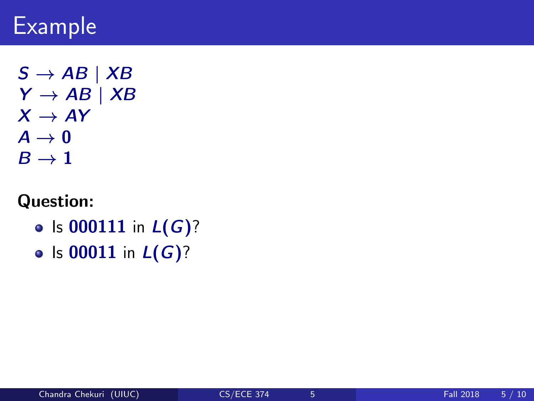# Example

 $S \rightarrow AB \mid XB$  $Y \rightarrow AB \mid XB$  $X \rightarrow AY$  $A \rightarrow 0$  $B \rightarrow 1$ 

#### Question:

- Is 000111 in  $L(G)$ ?
- Is 00011 in  $L(G)$ ?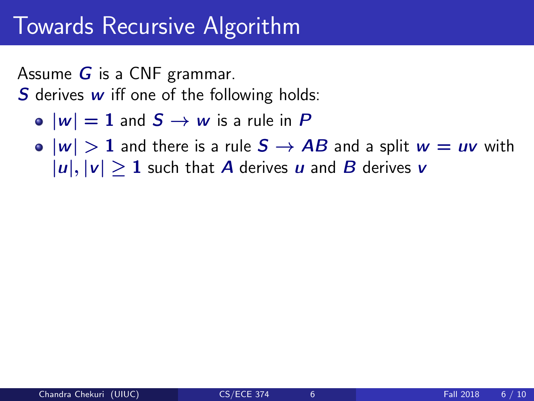## Towards Recursive Algorithm

Assume  $G$  is a CNF grammar.

**S** derives  $w$  iff one of the following holds:

- $|w| = 1$  and  $S \rightarrow w$  is a rule in P
- $\bullet$   $|w| > 1$  and there is a rule  $S \rightarrow AB$  and a split  $w = uv$  with  $|u|, |v| > 1$  such that A derives u and B derives v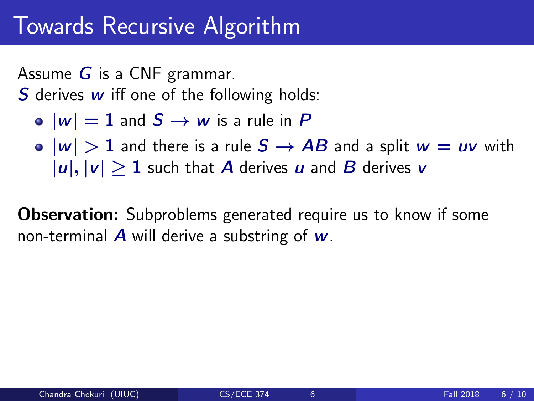## Towards Recursive Algorithm

Assume  $G$  is a CNF grammar.

**S** derives  $w$  iff one of the following holds:

• 
$$
|w| = 1
$$
 and  $S \rightarrow w$  is a rule in P

 $\bullet$   $|w| > 1$  and there is a rule  $S \rightarrow AB$  and a split  $w = uv$  with  $|u|, |v| > 1$  such that A derives u and B derives v

**Observation:** Subproblems generated require us to know if some non-terminal  $\bm{A}$  will derive a substring of  $\bm{w}$ .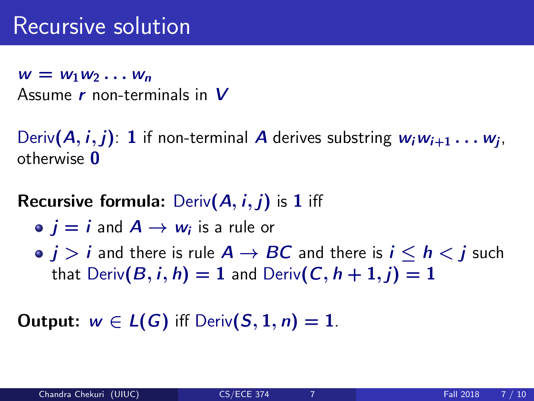$w = w_1w_2 \ldots w_n$ Assume  $r$  non-terminals in  $V$ 

Deriv $(A,i,j)$ :  $1$  if non-terminal  $A$  derives substring  $w_iw_{i+1}\ldots w_j,$ otherwise 0

#### **Recursive formula:** Deriv $(A, i, j)$  is 1 iff

- $j=i$  and  $A\to w_i$  is a rule or
- $\bullet$   $j > i$  and there is rule  $A \rightarrow BC$  and there is  $i \le h \le j$  such that  $Deriv(B, i, h) = 1$  and  $Deriv(C, h + 1, i) = 1$

Output:  $w \in L(G)$  iff Deriv $(S, 1, n) = 1$ .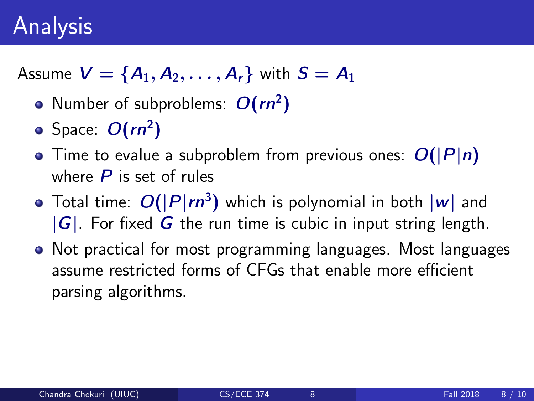# Analysis

Assume  $V = \{A_1, A_2, ..., A_r\}$  with  $S = A_1$ 

- Number of subproblems:  $O(rn^2)$
- Space:  $O(rn^2)$
- $\bullet$  Time to evalue a subproblem from previous ones:  $O(|P|n)$ where  $P$  is set of rules
- Total time:  $O(|P|rn^3)$  which is polynomial in both  $|w|$  and  $|G|$ . For fixed G the run time is cubic in input string length.
- Not practical for most programming languages. Most languages assume restricted forms of CFGs that enable more efficient parsing algorithms.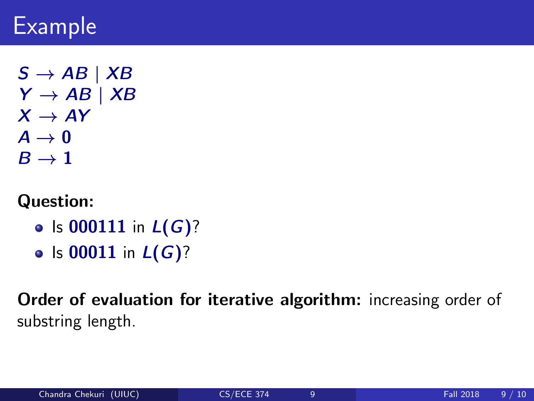# Example

 $S \rightarrow AB \mid XB$  $Y \rightarrow AB \mid XB$  $X \rightarrow AY$  $A \rightarrow 0$  $B \rightarrow 1$ 

#### Question:

- Is 000111 in  $L(G)$ ?
- Is 00011 in  $L(G)$ ?

Order of evaluation for iterative algorithm: increasing order of substring length.